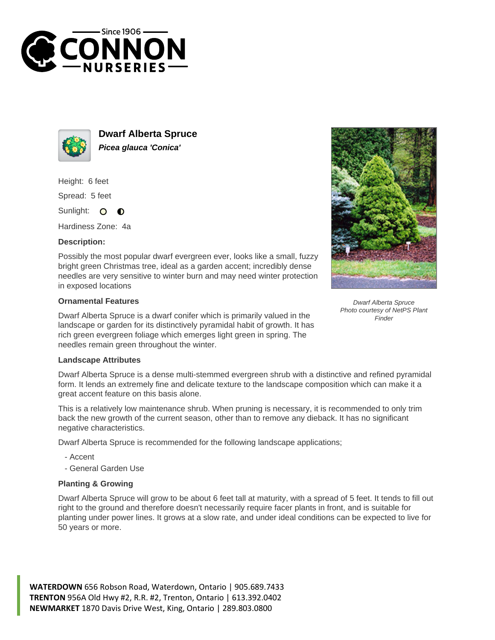



**Dwarf Alberta Spruce Picea glauca 'Conica'**

Height: 6 feet

Spread: 5 feet

Sunlight: O  $\bullet$ 

Hardiness Zone: 4a

## **Description:**

Possibly the most popular dwarf evergreen ever, looks like a small, fuzzy bright green Christmas tree, ideal as a garden accent; incredibly dense needles are very sensitive to winter burn and may need winter protection in exposed locations

## **Ornamental Features**

Dwarf Alberta Spruce is a dwarf conifer which is primarily valued in the landscape or garden for its distinctively pyramidal habit of growth. It has rich green evergreen foliage which emerges light green in spring. The needles remain green throughout the winter.



Dwarf Alberta Spruce Photo courtesy of NetPS Plant Finder

## **Landscape Attributes**

Dwarf Alberta Spruce is a dense multi-stemmed evergreen shrub with a distinctive and refined pyramidal form. It lends an extremely fine and delicate texture to the landscape composition which can make it a great accent feature on this basis alone.

This is a relatively low maintenance shrub. When pruning is necessary, it is recommended to only trim back the new growth of the current season, other than to remove any dieback. It has no significant negative characteristics.

Dwarf Alberta Spruce is recommended for the following landscape applications;

- Accent
- General Garden Use

## **Planting & Growing**

Dwarf Alberta Spruce will grow to be about 6 feet tall at maturity, with a spread of 5 feet. It tends to fill out right to the ground and therefore doesn't necessarily require facer plants in front, and is suitable for planting under power lines. It grows at a slow rate, and under ideal conditions can be expected to live for 50 years or more.

**WATERDOWN** 656 Robson Road, Waterdown, Ontario | 905.689.7433 **TRENTON** 956A Old Hwy #2, R.R. #2, Trenton, Ontario | 613.392.0402 **NEWMARKET** 1870 Davis Drive West, King, Ontario | 289.803.0800